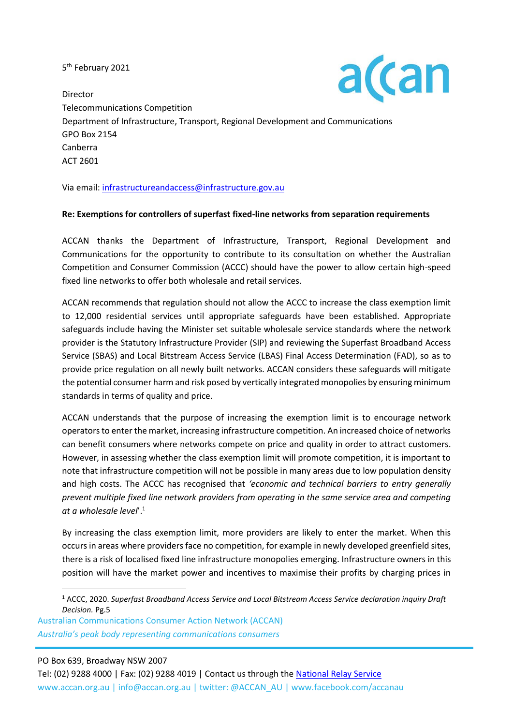5<sup>th</sup> February 2021



Director Telecommunications Competition Department of Infrastructure, Transport, Regional Development and Communications GPO Box 2154 Canberra ACT 2601

Via email[: infrastructureandaccess@infrastructure.gov.au](mailto:infrastructureandaccess@infrastructure.gov.au)

## **Re: Exemptions for controllers of superfast fixed-line networks from separation requirements**

ACCAN thanks the Department of Infrastructure, Transport, Regional Development and Communications for the opportunity to contribute to its consultation on whether the Australian Competition and Consumer Commission (ACCC) should have the power to allow certain high-speed fixed line networks to offer both wholesale and retail services.

ACCAN recommends that regulation should not allow the ACCC to increase the class exemption limit to 12,000 residential services until appropriate safeguards have been established. Appropriate safeguards include having the Minister set suitable wholesale service standards where the network provider is the Statutory Infrastructure Provider (SIP) and reviewing the Superfast Broadband Access Service (SBAS) and Local Bitstream Access Service (LBAS) Final Access Determination (FAD), so as to provide price regulation on all newly built networks. ACCAN considers these safeguards will mitigate the potential consumer harm and risk posed by vertically integrated monopolies by ensuring minimum standards in terms of quality and price.

ACCAN understands that the purpose of increasing the exemption limit is to encourage network operators to enter the market, increasing infrastructure competition. An increased choice of networks can benefit consumers where networks compete on price and quality in order to attract customers. However, in assessing whether the class exemption limit will promote competition, it is important to note that infrastructure competition will not be possible in many areas due to low population density and high costs. The ACCC has recognised that *'economic and technical barriers to entry generally prevent multiple fixed line network providers from operating in the same service area and competing at a wholesale level*'. 1

By increasing the class exemption limit, more providers are likely to enter the market. When this occurs in areas where providers face no competition, for example in newly developed greenfield sites, there is a risk of localised fixed line infrastructure monopolies emerging. Infrastructure owners in this position will have the market power and incentives to maximise their profits by charging prices in

Australian Communications Consumer Action Network (ACCAN) *Australia's peak body representing communications consumers*

PO Box 639, Broadway NSW 2007

<sup>1</sup> ACCC, 2020. *Superfast Broadband Access Service and Local Bitstream Access Service declaration inquiry Draft Decision.* Pg.5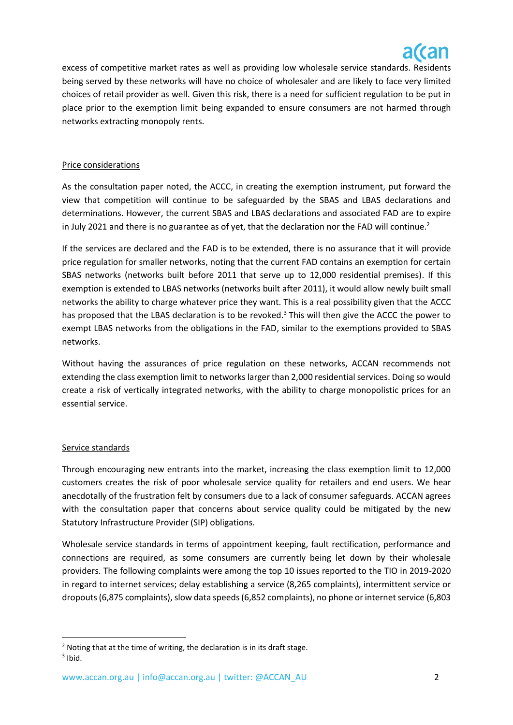

excess of competitive market rates as well as providing low wholesale service standards. Residents being served by these networks will have no choice of wholesaler and are likely to face very limited choices of retail provider as well. Given this risk, there is a need for sufficient regulation to be put in place prior to the exemption limit being expanded to ensure consumers are not harmed through networks extracting monopoly rents.

## Price considerations

As the consultation paper noted, the ACCC, in creating the exemption instrument, put forward the view that competition will continue to be safeguarded by the SBAS and LBAS declarations and determinations. However, the current SBAS and LBAS declarations and associated FAD are to expire in July 2021 and there is no guarantee as of yet, that the declaration nor the FAD will continue.<sup>2</sup>

If the services are declared and the FAD is to be extended, there is no assurance that it will provide price regulation for smaller networks, noting that the current FAD contains an exemption for certain SBAS networks (networks built before 2011 that serve up to 12,000 residential premises). If this exemption is extended to LBAS networks (networks built after 2011), it would allow newly built small networks the ability to charge whatever price they want. This is a real possibility given that the ACCC has proposed that the LBAS declaration is to be revoked.<sup>3</sup> This will then give the ACCC the power to exempt LBAS networks from the obligations in the FAD, similar to the exemptions provided to SBAS networks.

Without having the assurances of price regulation on these networks, ACCAN recommends not extending the class exemption limit to networks larger than 2,000 residential services. Doing so would create a risk of vertically integrated networks, with the ability to charge monopolistic prices for an essential service.

## Service standards

Through encouraging new entrants into the market, increasing the class exemption limit to 12,000 customers creates the risk of poor wholesale service quality for retailers and end users. We hear anecdotally of the frustration felt by consumers due to a lack of consumer safeguards. ACCAN agrees with the consultation paper that concerns about service quality could be mitigated by the new Statutory Infrastructure Provider (SIP) obligations.

Wholesale service standards in terms of appointment keeping, fault rectification, performance and connections are required, as some consumers are currently being let down by their wholesale providers. The following complaints were among the top 10 issues reported to the TIO in 2019-2020 in regard to internet services; delay establishing a service (8,265 complaints), intermittent service or dropouts (6,875 complaints), slow data speeds (6,852 complaints), no phone or internet service (6,803

 $2$  Noting that at the time of writing, the declaration is in its draft stage.  $3$  Ibid.